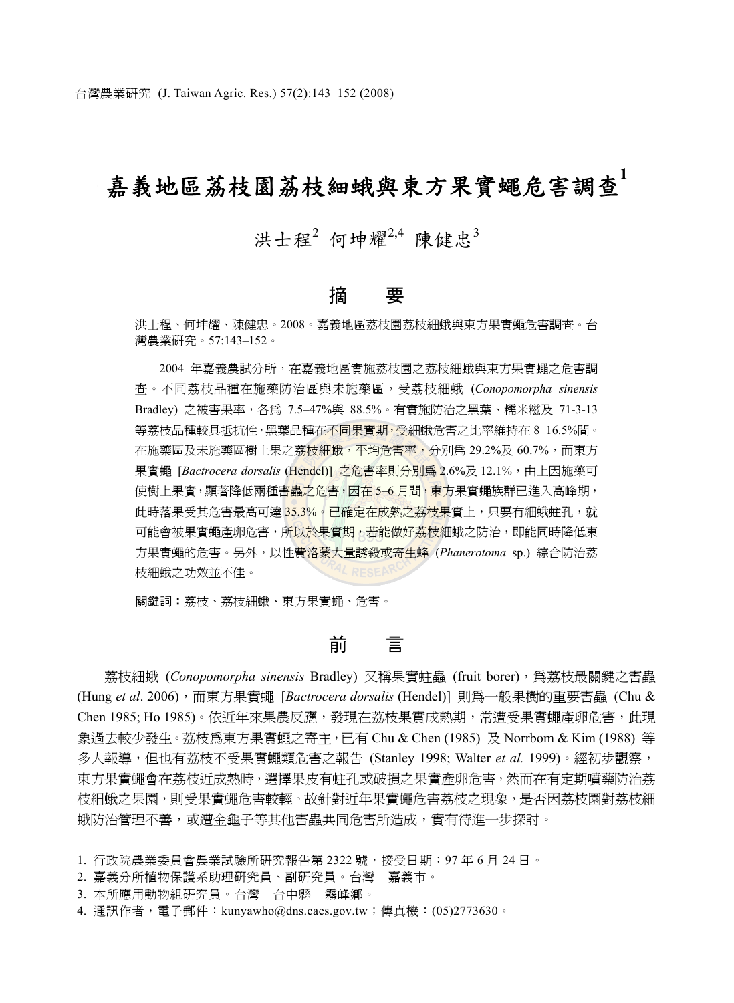# 嘉義地區荔枝園荔枝細蛾與東方果實蠅危害調查**<sup>1</sup>**

## 洪十程<sup>2</sup> 何坤耀<sup>2,4</sup> 陳健忠<sup>3</sup>

## 摘 要

洪士程、何坤耀、陳健忠。2008。嘉義地區荔枝園荔枝細蛾與東方果實蠅危害調查。台 灣農業研究。57:143–152。

2004 年嘉義農試分所,在嘉義地區實施荔枝園之荔枝細蛾與東方果實蠅之危害調 查。不同荔枝品種在施藥防治區與未施藥區,受荔枝細蛾 (*Conopomorpha sinensis*  Bradley) 之被害果率,各為 7.5–47%與 88.5%。有實施防治之黑葉、糯米糍及 71-3-13 等荔枝品種較具抵抗性,黑葉品種在不同果實期,受細蛾危害之比率維持在 8–16.5%間。 在施藥區及未施藥區樹上果之荔枝細蛾,平均危害率,分別為 29.2%及 60.7%,而東方 果實蠅 [*Bactrocera dorsalis* (Hendel)] 之危害率則分別爲 2.6%及 12.1%, 由上因施藥可 使樹上果實,顯著降低兩種害蟲之危害,因在 5-6 月間,東方果實蠅族群已進入高峰期, 此時落果受其危害最高可達 35.3%。已確定在成熟之荔枝果實上,只要有細蛾蛀孔,就 可能會被果實蠅產卵危害,所以於果實期,若能做好荔枝細蛾之防治,即能同時降低東 方果實蠅的危害。另外,以性費洛蒙大量誘殺或寄生蜂 (*Phanerotoma* sp.) 綜合防治荔 枝細蛾之功效並不佳。

關鍵詞︰荔枝、荔枝細蛾、東方果實蠅、危害。

## 前 言

荔枝細蛾 (*Conopomorpha sinensis* Bradley) 又稱果實蛀蟲 (fruit borer),為荔枝最關鍵之害蟲 (Hung *et al*. 2006),而東方果實蠅 [*Bactrocera dorsalis* (Hendel)] 則為一般果樹的重要害蟲 (Chu & Chen 1985; Ho 1985)。依近年來果農反應,發現在荔枝果實成熟期,常遭受果實蠅產卵危害,此現 象過去較少發生。荔枝為東方果實蠅之寄主,已有 Chu & Chen (1985) 及 Norrbom & Kim (1988) 等 多人報導,但也有荔枝不受果實蠅類危害之報告 (Stanley 1998; Walter *et al.* 1999)。經初步觀察, 東方果實蠅會在荔枝沂成熟時,選擇果皮有蛀孔或破損之果實產卵危害,然而在有定期噴藥防治荔 枝細蛾之果園,則受果實蠅危害較輕。故針對近年果實蠅危害荔枝之現象,是否因荔枝園對荔枝細 蛾防治管理不善,或遭金龜子等其他害蟲共同危害所造成,實有待進一步探討。

<sup>1.</sup> 行政院農業委員會農業試驗所研究報告第 2322 號,接受日期:97 年 6 月 24 日。

<sup>2.</sup> 嘉義分所植物保護系助理研究員、副研究員。台灣 嘉義市。

<sup>3.</sup> 本所應用動物組研究員。台灣 台中縣 霧峰鄉。

<sup>4.</sup> 通訊作者,電子郵件:kunyawho@dns.caes.gov.tw;傳真機:(05)2773630。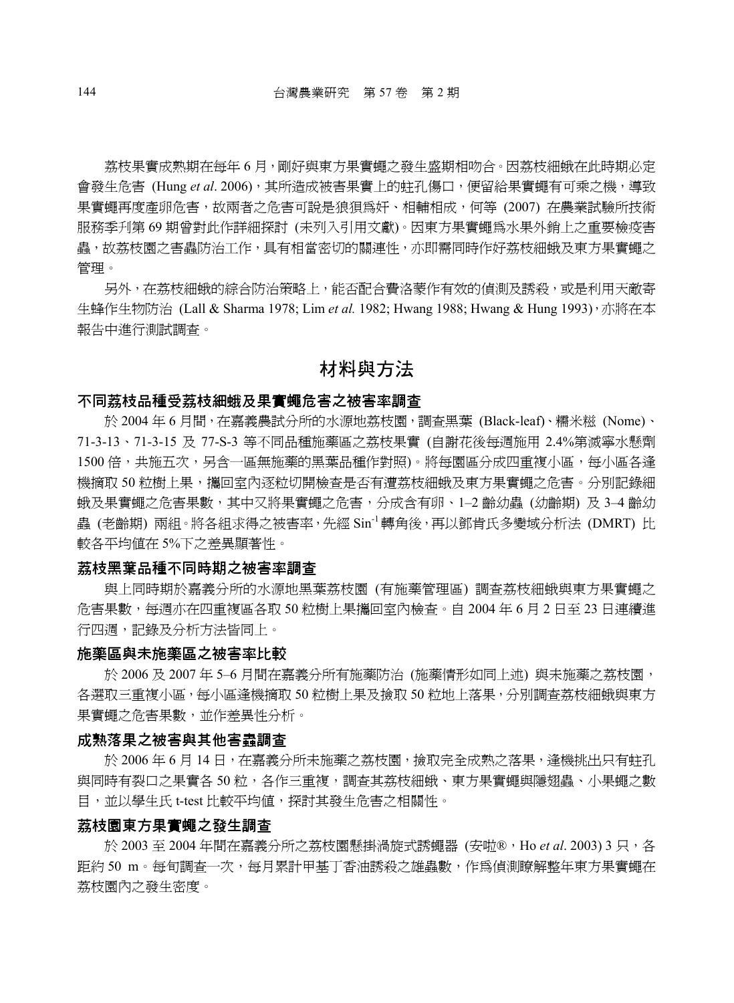荔枝果實成熟期在每年 6 月,剛好與東方果實蠅之發生盛期相吻合。因荔枝細蛾在此時期必定 會發生危害 (Hung *et al*. 2006),其所造成被害果實上的蛀孔傷口,便留給果實蠅有可乘之機,導致 果實蠅再度產卵危害,故兩者之危害可說是狼狽為奸、相輔相成,何等 (2007) 在農業試驗所技術 服務季刋第 69 期曾對此作詳細探討 (未列入引用文獻)。因東方果實蠅爲水果外銷上之重要檢疫害 蟲,故荔枝園之害蟲防治工作,具有相當密切的關連性,亦即需同時作好荔枝細蛾及東方果實蠅之 管理。

另外,在荔枝細蛾的綜合防治策略上,能否配合費洛蒙作有效的偵測及誘殺,或是利用天敵寄 生蜂作生物防治 (Lall & Sharma 1978; Lim *et al.* 1982; Hwang 1988; Hwang & Hung 1993),亦將在本 報告中進行測試調查。

## 材料與方法

#### 不同荔枝品種受荔枝細蛾及果實蠅危害之被害率調查

於 2004 年 6 月間,在嘉義農試分所的水源地荔枝園,調查黑葉 (Black-leaf)、糯米糍 (Nome)、 71-3-13、71-3-15 及 77-S-3 等不同品種施藥區之荔枝果實 (自謝花後每週施用 2.4%第滅寧水懸劑 1500 倍,共施五次,另含一區無施藥的黑葉品種作對照)。將每園區分成四重複小區,每小區各逢 機摘取 50 粒樹上果,攜回室內逐粒切開檢查是否有遭荔枝細蛾及東方果實蠅之危害。分別記錄細 蛾及果實蠅之危害果數,其中又將果實蠅之危害,分成含有卵、1–2 齡幼蟲 (幼齡期) 及 3–4 齡幼 蟲 (老齡期) 兩組。將各組求得之被害率,先經 Sin-1轉角後,再以鄧肯氏多變域分析法 (DMRT) 比 較各平均值在 5%下之差異顯著性。

#### 荔枝黑葉品種不同時期之被害率調查

與上同時期於嘉義分所的水源地黑葉荔枝園 (有施藥管理區) 調查荔枝細蛾與東方果實蠅之 危害果數,每週亦在四重複區各取 50 粒樹上果攜回室內檢查。自 2004 年 6 月 2 日至 23 日連續進 行四週,記錄及分析方法皆同上。

#### 施藥區與未施藥區之被害率比較

於 2006 及 2007 年 5–6 月間在嘉義分所有施藥防治 (施藥情形如同上述) 與未施藥之荔枝園, 各選取三重複小區,每小區逢機摘取 50 粒樹上果及撿取 50 粒地上落果,分別調查荔枝細蛾與東方 果實蠅之危害果數,並作差異性分析。

#### 成熟落果之被害與其他害蟲調查

於 2006 年 6 月 14 日,在嘉義分所未施藥之荔枝園,撿取完全成熟之落果,逢機挑出只有蛀孔 與同時有裂口之果實各 50 粒,各作三重複,調杳其荔枝細蛾、東方果實蠅與隱翅蟲、小果蠅之數 目,並以學生氏 t-test 比較平均值,探討其發生危害之相關性。

#### 荔枝園東方果實蠅之發生調查

於 2003 至 2004 年間在嘉義分所之荔枝園懸掛渦旋式誘蠅器 (安啦®,Ho *et al.* 2003) 3 只, 各 距約 50 m。每旬調杳一次,每月累計甲基丁香油誘殺之雄蟲數,作為偵測瞭解整年東方果實蠅在 荔枝園內之發生密度。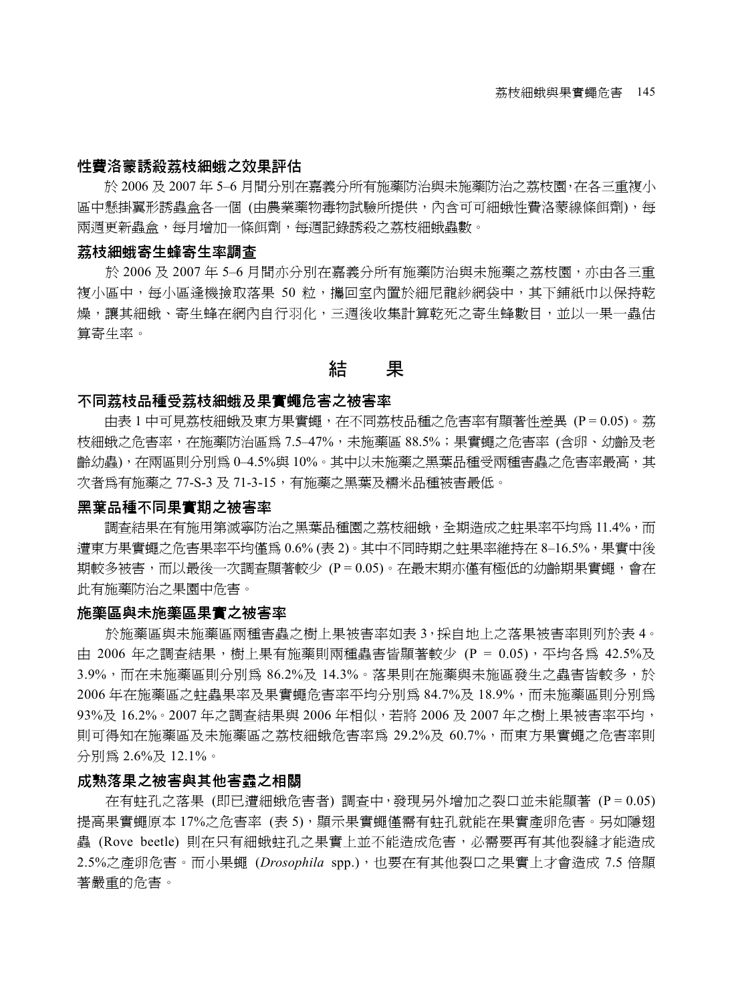#### 性費洛蒙誘殺荔枝細蛾之效果評估

於 2006 及 2007 年 5–6 月間分別在嘉義分所有施藥防治與未施藥防治之荔枝園,在各三重複小 區中懸掛翼形誘蟲盒各一個 (由農業藥物毒物試驗所提供,內含可可細蛾性費洛蒙線條餌劑),每 兩週更新蟲盒,每月增加一條餌劑,每週記錄誘殺之荔枝細蛾蟲數。

#### 荔枝細蛾寄生蜂寄生率調查

於 2006 及 2007 年 5–6 月間亦分別在嘉義分所有施藥防治與未施藥之荔枝園,亦由各三重 複小區中,每小區逢機撿取落果 50 粒,攜回室內置於細尼龍紗網袋中,其下鋪紙巾以保持乾 燥,讓其細蛾、寄生蜂在網內自行羽化,三週後收集計算乾死之寄生蜂數目,並以一果一轟估 算寄生率。

### 結 果

#### 不同荔枝品種受荔枝細蛾及果實蠅危害之被害率

由表 1 中可見荔枝細蛾及東方果實蠅,在不同荔枝品種之危害率有顯著性差異 (P = 0.05)。荔 枝細蛾之危害率,在施藥防治區為 7.5–47%,未施藥區 88.5%;果實蠅之危害率 (含卵、幼齡及老 齡幼蟲),在兩區則分別為 0–4.5%與 10%。其中以未施藥之黑葉品種受兩種害蟲之危害率最高,其 次者為有施藥之 77-S-3 及 71-3-15,有施藥之黑葉及糯米品種被害最低。

#### 黑葉品種不同果實期之被害率

調杳結果在有施用第滅寧防治之黑葉品種園之荔枝細蛾,全期造成之蛀果率平均爲 11.4%,而 遭東方果實蠅之危害果率平均僅為 0.6% (表 2)。其中不同時期之蛀果率維持在 8–16.5%,果實中後 期較多被害,而以最後一次調查顯著較少 (P = 0.05)。在最末期亦僅有極低的幼齡期果實蠅,會在 此有施藥防治之果園中危害。

#### 施藥區與未施藥區果實之被害率

於施藥區與未施藥區兩種害蟲之樹上果被害率如表 3,採自地上之落果被害率則列於表 4。 由 2006 年之調查結果,樹上果有施藥則兩種蟲害皆顯著較少 (P = 0.05),平均各為 42.5%及 3.9%,而在未施藥區則分別為 86.2%及 14.3%。落果則在施藥與未施區發生之蟲害皆較多,於 2006 年在施藥區之蛀蟲果率及果實蠅危害率平均分別為 84.7%及 18.9%,而未施藥區則分別為 93%及 16.2%。2007 年之調查結果與 2006 年相似,若將 2006 及 2007 年之樹上果被害率平均, 則可得知在施藥區及未施藥區之荔枝細蛾危害率為 29.2%及 60.7%,而東方果實蠅之危害率則 分別為 2.6%及 12.1%。

#### 成熟落果之被害與其他害蟲之相關

在有蛀孔之落果 (即已遭細蛾危害者) 調查中,發現另外增加之裂口並未能顯著 (P = 0.05) 提高果實蠅原本 17%之危害率 (表 5),顯示果實蠅僅需有蛀孔就能在果實產卵危害。另如隱翅 蟲 (Rove beetle) 則在只有細蛾蛀孔之果實上並不能造成危害,必需要再有其他裂縫才能造成 2.5%之產卵危害。而小果蠅 (*Drosophila* spp.),也要在有其他裂口之果實上才會造成 7.5 倍顯 著嚴重的危害。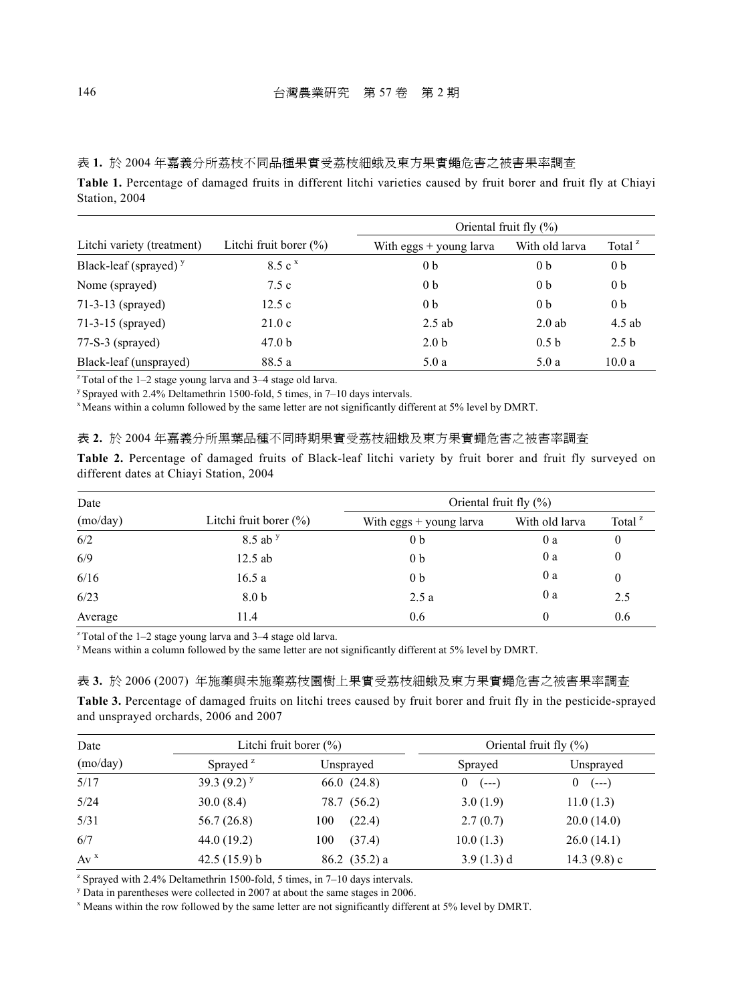表 **1.** 於 2004 年嘉義分所荔枝不同品種果實受荔枝細蛾及東方果實蠅危害之被害果率調查

**Table 1.** Percentage of damaged fruits in different litchi varieties caused by fruit borer and fruit fly at Chiayi Station, 2004

|                                   |                            | Oriental fruit fly $(\% )$ |                  |                    |  |  |  |
|-----------------------------------|----------------------------|----------------------------|------------------|--------------------|--|--|--|
| Litchi variety (treatment)        | Litchi fruit borer $(\% )$ | With eggs $+$ young larva  | With old larva   | Total <sup>z</sup> |  |  |  |
| Black-leaf (sprayed) <sup>y</sup> | 8.5c <sup>x</sup>          | 0 <sub>b</sub>             | 0 <sub>b</sub>   | 0 <sub>b</sub>     |  |  |  |
| Nome (sprayed)                    | 7.5c                       | 0 <sub>b</sub>             | 0 <sub>b</sub>   | 0 <sub>b</sub>     |  |  |  |
| $71-3-13$ (sprayed)               | 12.5c                      | 0 <sub>b</sub>             | 0 <sub>b</sub>   | 0 <sub>b</sub>     |  |  |  |
| 71-3-15 (sprayed)                 | 21.0c                      | $2.5$ ab                   | $2.0$ ab         | $4.5$ ab           |  |  |  |
| $77-S-3$ (sprayed)                | 47.0 <sub>b</sub>          | 2.0 <sub>b</sub>           | 0.5 <sub>b</sub> | 2.5 <sub>b</sub>   |  |  |  |
| Black-leaf (unsprayed)            | 88.5 a                     | 5.0a                       | 5.0a             | 10.0a              |  |  |  |

 $z$ Total of the 1-2 stage young larva and 3-4 stage old larva.

y Sprayed with 2.4% Deltamethrin 1500-fold, 5 times, in 7–10 days intervals.

x Means within a column followed by the same letter are not significantly different at 5% level by DMRT.

表 **2.** 於 2004 年嘉義分所黑葉品種不同時期果實受荔枝細蛾及東方果實蠅危害之被害率調查

**Table 2.** Percentage of damaged fruits of Black-leaf litchi variety by fruit borer and fruit fly surveyed on different dates at Chiayi Station, 2004

| Date     |                            | Oriental fruit fly $(\% )$ |                |                    |  |  |  |  |
|----------|----------------------------|----------------------------|----------------|--------------------|--|--|--|--|
| (mo/day) | Litchi fruit borer $(\% )$ | With eggs $+$ young larva  | With old larva | Total <sup>z</sup> |  |  |  |  |
| 6/2      | $8.5$ ab $y$               | 0 <sub>b</sub>             | 0 a            | $\theta$           |  |  |  |  |
| 6/9      | $12.5$ ab                  | 0 <sub>b</sub>             | 0a             | $\theta$           |  |  |  |  |
| 6/16     | 16.5a                      | 0 <sub>b</sub>             | 0a             | $\theta$           |  |  |  |  |
| 6/23     | 8.0 <sub>b</sub>           | 2.5a                       | 0a             | 2.5                |  |  |  |  |
| Average  | 11.4                       | 0.6                        | 0              | 0.6                |  |  |  |  |

 $z$ <sup>z</sup> Total of the 1–2 stage young larva and 3–4 stage old larva.

y Means within a column followed by the same letter are not significantly different at 5% level by DMRT.

表 **3.** 於 2006 (2007) 年施藥與未施藥荔枝園樹上果實受荔枝細蛾及東方果實蠅危害之被害果率調查

**Table 3.** Percentage of damaged fruits on litchi trees caused by fruit borer and fruit fly in the pesticide-sprayed and unsprayed orchards, 2006 and 2007

| Date     |                      | Litchi fruit borer $(\%)$ | Oriental fruit fly $(\% )$ |                |  |  |
|----------|----------------------|---------------------------|----------------------------|----------------|--|--|
| (mo/day) | Sprayed <sup>2</sup> | Unsprayed                 | Sprayed                    | Unsprayed      |  |  |
| 5/17     | 39.3 $(9.2)^y$       | 66.0(24.8)                | $\bf{0}$<br>$(--1)$        | $(--1)$<br>0   |  |  |
| 5/24     | 30.0(8.4)            | 78.7 (56.2)               | 3.0(1.9)                   | 11.0(1.3)      |  |  |
| 5/31     | 56.7(26.8)           | (22.4)<br>100             | 2.7(0.7)                   | 20.0(14.0)     |  |  |
| 6/7      | 44.0 (19.2)          | (37.4)<br>100             | 10.0(1.3)                  | 26.0(14.1)     |  |  |
| $Av^x$   | 42.5(15.9) b         | $86.2$ (35.2) a           | 3.9(1.3) d                 | 14.3 $(9.8)$ c |  |  |

z Sprayed with 2.4% Deltamethrin 1500-fold, 5 times, in 7–10 days intervals.

 $\frac{y}{x}$  Data in parentheses were collected in 2007 at about the same stages in 2006.

Means within the row followed by the same letter are not significantly different at 5% level by DMRT.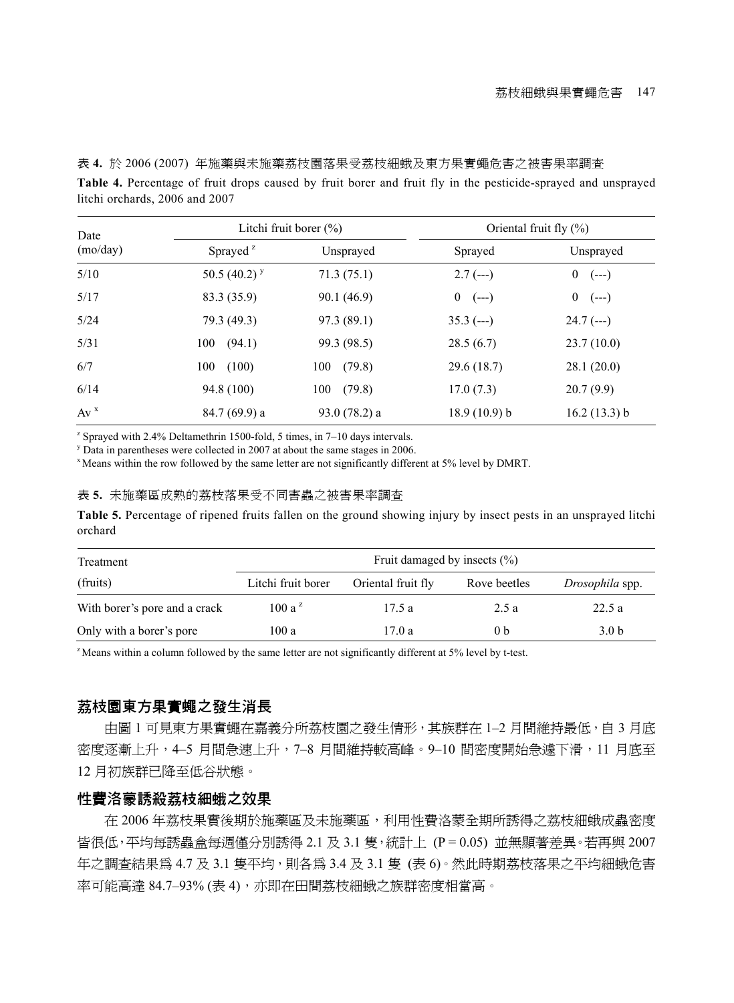表 **4.** 於 2006 (2007) 年施藥與未施藥荔枝園落果受荔枝細蛾及東方果實蠅危害之被害果率調查

**Table 4.** Percentage of fruit drops caused by fruit borer and fruit fly in the pesticide-sprayed and unsprayed litchi orchards, 2006 and 2007

| Date    |                      | Litchi fruit borer $(\%)$ | Oriental fruit fly $(\% )$ |                             |  |  |
|---------|----------------------|---------------------------|----------------------------|-----------------------------|--|--|
| (moday) | Sprayed <sup>2</sup> | Unsprayed                 | Sprayed                    | Unsprayed                   |  |  |
| 5/10    | 50.5 $(40.2)^y$      | 71.3(75.1)                | $2.7(--)$                  | $\boldsymbol{0}$<br>$(--1)$ |  |  |
| 5/17    | 83.3 (35.9)          | 90.1 (46.9)               | $\overline{0}$<br>$(--1)$  | $\boldsymbol{0}$<br>$(--)$  |  |  |
| 5/24    | 79.3 (49.3)          | 97.3 (89.1)               | $35.3$ (---)               | $24.7$ (---)                |  |  |
| 5/31    | 100<br>(94.1)        | 99.3 (98.5)               | 28.5(6.7)                  | 23.7(10.0)                  |  |  |
| 6/7     | 100<br>(100)         | (79.8)<br>100             | 29.6(18.7)                 | 28.1(20.0)                  |  |  |
| 6/14    | 94.8 (100)           | (79.8)<br>100             | 17.0(7.3)                  | 20.7(9.9)                   |  |  |
| $Av^x$  | $84.7(69.9)$ a       | $93.0(78.2)$ a            | 18.9(10.9) b               | 16.2(13.3) b                |  |  |

z Sprayed with 2.4% Deltamethrin 1500-fold, 5 times, in 7–10 days intervals.

<sup>y</sup> Data in parentheses were collected in 2007 at about the same stages in 2006.

<sup>x</sup> Means within the row followed by the same letter are not significantly different at 5% level by DMRT.

#### 表 **5.** 未施藥區成熟的荔枝落果受不同害蟲之被害果率調查

**Table 5.** Percentage of ripened fruits fallen on the ground showing injury by insect pests in an unsprayed litchi orchard

| Treatment                     | Fruit damaged by insects $(\% )$ |                    |                |                  |  |  |  |  |  |  |
|-------------------------------|----------------------------------|--------------------|----------------|------------------|--|--|--|--|--|--|
| (fruits)                      | Litchi fruit borer               | Oriental fruit fly | Rove beetles   | Drosophila spp.  |  |  |  |  |  |  |
| With borer's pore and a crack | $100a^z$                         | 17.5a              | 2.5a           | 22.5a            |  |  |  |  |  |  |
| Only with a borer's pore      | 100a                             | 17.0 a             | 0 <sub>b</sub> | 3.0 <sub>b</sub> |  |  |  |  |  |  |

z Means within a column followed by the same letter are not significantly different at 5% level by t-test.

#### 荔枝園東方果實蠅之發生消長

由圖 1 可見東方果實蠅在嘉義分所荔枝園之發生情形,其族群在 1–2 月間維持最低,自 3 月底 密度逐漸上升,4–5 月間急速上升,7–8 月間維持較高峰。9–10 間密度開始急遽下滑,11 月底至 12 月初族群已降至低谷狀態。

#### 性費洛蒙誘殺荔枝細蛾之效果

在 2006 年荔枝果實後期於施藥區及未施藥區,利用性費洛蒙全期所誘得之荔枝細蛾成蟲密度 皆很低,平均每誘蟲盒每週僅分別誘得 2.1 及 3.1 隻,統計上 (P = 0.05) 並無顯著差異。若再與 2007 年之調杳結果為 4.7 及 3.1 隻平均,則各為 3.4 及 3.1 隻 (表 6)。然此時期荔枝落果之平均細蛾危害 率可能高達 84.7-93% (表 4), 亦即在田間荔枝細蛾之族群密度相當高。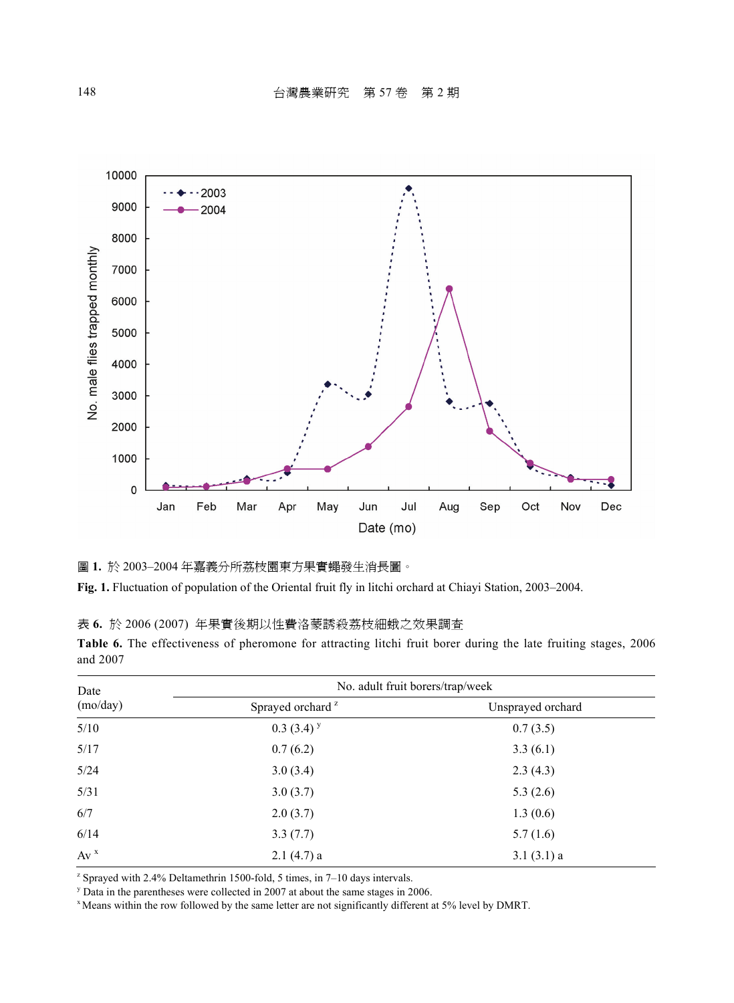

圖 **1.** 於 2003–2004 年嘉義分所荔枝園東方果實蠅發生消長圖。

**Fig. 1.** Fluctuation of population of the Oriental fruit fly in litchi orchard at Chiayi Station, 2003–2004.

表 **6.** 於 2006 (2007) 年果實後期以性費洛蒙誘殺荔枝細蛾之效果調查

|          | Table 6. The effectiveness of pheromone for attracting litchi fruit borer during the late fruiting stages, 2006 |  |  |  |  |  |  |  |
|----------|-----------------------------------------------------------------------------------------------------------------|--|--|--|--|--|--|--|
| and 2007 |                                                                                                                 |  |  |  |  |  |  |  |

| Date     | No. adult fruit borers/trap/week |                   |  |  |  |  |  |
|----------|----------------------------------|-------------------|--|--|--|--|--|
| (mo/day) | Sprayed orchard <sup>2</sup>     | Unsprayed orchard |  |  |  |  |  |
| 5/10     | $0.3(3.4)$ <sup>y</sup>          | 0.7(3.5)          |  |  |  |  |  |
| 5/17     | 0.7(6.2)                         | 3.3(6.1)          |  |  |  |  |  |
| 5/24     | 3.0(3.4)                         | 2.3(4.3)          |  |  |  |  |  |
| 5/31     | 3.0(3.7)                         | 5.3(2.6)          |  |  |  |  |  |
| 6/7      | 2.0(3.7)                         | 1.3(0.6)          |  |  |  |  |  |
| 6/14     | 3.3(7.7)                         | 5.7(1.6)          |  |  |  |  |  |
| $Av^x$   | $2.1(4.7)$ a                     | 3.1(3.1)a         |  |  |  |  |  |

z Sprayed with 2.4% Deltamethrin 1500-fold, 5 times, in 7–10 days intervals.

<sup>y</sup> Data in the parentheses were collected in 2007 at about the same stages in 2006.

<sup>x</sup> Means within the row followed by the same letter are not significantly different at 5% level by DMRT.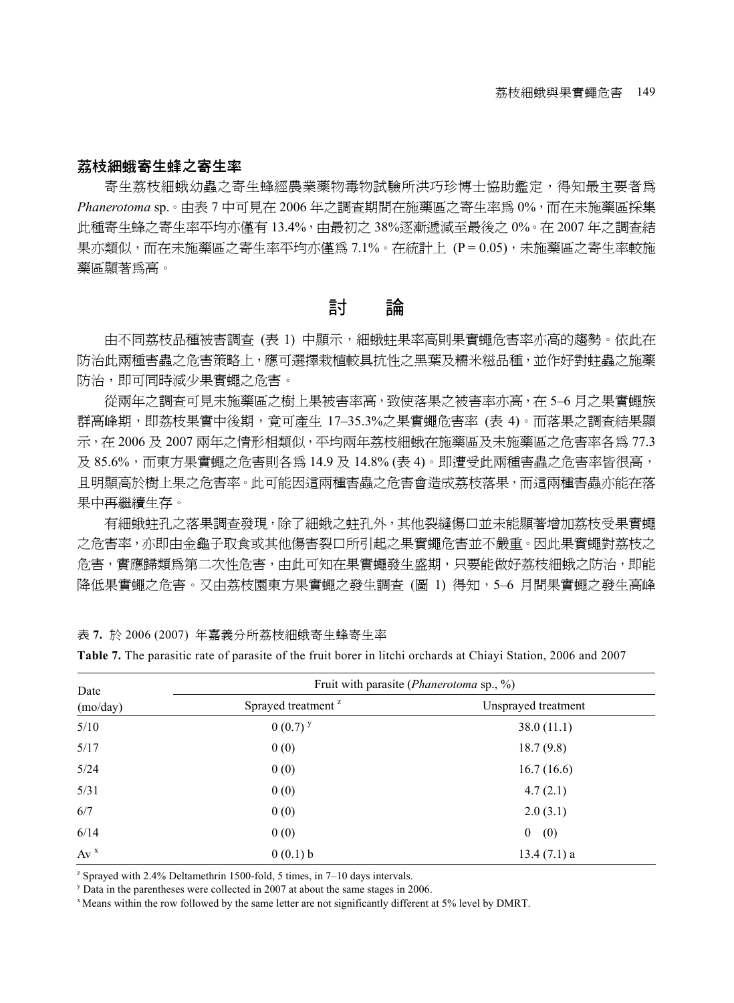#### 荔枝細蛾寄生蜂之寄生率

寄生荔枝細蛾幼蟲之寄生蜂經農業藥物毒物試驗所洪巧珍博士協助鑑定,得知最主要者為 *Phanerotoma* sp.。由表 7 中可見在 2006 年之調查期間在施藥區之寄生率為 0%,而在未施藥區採集 此種寄生蜂之寄生率平均亦僅有 13.4%,由最初之 38%逐漸遞減至最後之 0%。在 2007 年之調查結 果亦類似,而在未施藥區之寄生率平均亦僅為 7.1%。在統計上 (P = 0.05),未施藥區之寄生率較施 藥區顯著為高。

## 討 論

由不同荔枝品種被害調査 (表 1) 中顯示,細蛾蛀果率高則果實蠅危害率亦高的趨勢。依此在 防治此兩種害蟲之危害策略上,應可選擇栽植較具抗性之黑葉及糯米糍品種,並作好對蛀蟲之施藥 防治,即可同時減少果實蠅之危害。

從兩年之調查可見未施藥區之樹上果被害率高,致使落果之被害率亦高,在 5–6 月之果實蠅族 群高峰期,即荔枝果實中後期,竟可產生 17-35.3%之果實蠅危害率 (表 4)。而落果之調杳結果顯 示,在 2006 及 2007 兩年之情形相類似,平均兩年荔枝細蛾在施藥區及未施藥區之危害率各為 77.3 及 85.6%,而東方果實蠅之危害則各為 14.9 及 14.8% (表 4)。即遭受此兩種害蟲之危害率皆很高, 且明顯高於樹上果之危害率。此可能因這兩種害蟲之危害會造成荔枝落果,而這兩種害蟲亦能在落 果中再繼續生存。

有細蛾蛀孔之落果調查發現,除了細蛾之蛀孔外,其他裂縫傷口並未能顯著增加荔枝受果實蠅 之危害率,亦即由金龜子取食或其他傷害裂口所引起之果實蠅危害並不嚴重。因此果實蠅對荔枝之 危害,實應歸類為第二次性危害,由此可知在果實蠅發生盛期,只要能做好荔枝細蛾之防治,即能 降低果實蠅之危害。又由荔枝園東方果實蠅之發生調杳 (圖 1) 得知,5–6 月間果實蠅之發生高峰

表 **7.** 於 2006 (2007) 年嘉義分所荔枝細蛾寄生蜂寄生率

|  |  |  |  |  |  |  |  |  |  |  |  |  |  | <b>Table 7.</b> The parasitic rate of parasite of the fruit borer in litchi orchards at Chiavi Station, 2006 and 2007 |
|--|--|--|--|--|--|--|--|--|--|--|--|--|--|-----------------------------------------------------------------------------------------------------------------------|
|--|--|--|--|--|--|--|--|--|--|--|--|--|--|-----------------------------------------------------------------------------------------------------------------------|

| Date     | Fruit with parasite ( <i>Phanerotoma</i> sp., %) |                         |  |  |  |  |  |
|----------|--------------------------------------------------|-------------------------|--|--|--|--|--|
| (mo/day) | Sprayed treatment <sup>2</sup>                   | Unsprayed treatment     |  |  |  |  |  |
| 5/10     | $0(0.7)^{y}$                                     | 38.0(11.1)              |  |  |  |  |  |
| 5/17     | 0(0)                                             | 18.7(9.8)               |  |  |  |  |  |
| 5/24     | 0(0)                                             | 16.7(16.6)              |  |  |  |  |  |
| 5/31     | 0(0)                                             | 4.7(2.1)                |  |  |  |  |  |
| 6/7      | 0(0)                                             | 2.0(3.1)                |  |  |  |  |  |
| 6/14     | 0(0)                                             | $\boldsymbol{0}$<br>(0) |  |  |  |  |  |
| $Av^x$   | 0(0.1) b                                         | $13.4(7.1)$ a           |  |  |  |  |  |

z Sprayed with 2.4% Deltamethrin 1500-fold, 5 times, in 7–10 days intervals.

 $\frac{y}{y}$  Data in the parentheses were collected in 2007 at about the same stages in 2006.

 $\alpha$  Means within the row followed by the same letter are not significantly different at 5% level by DMRT.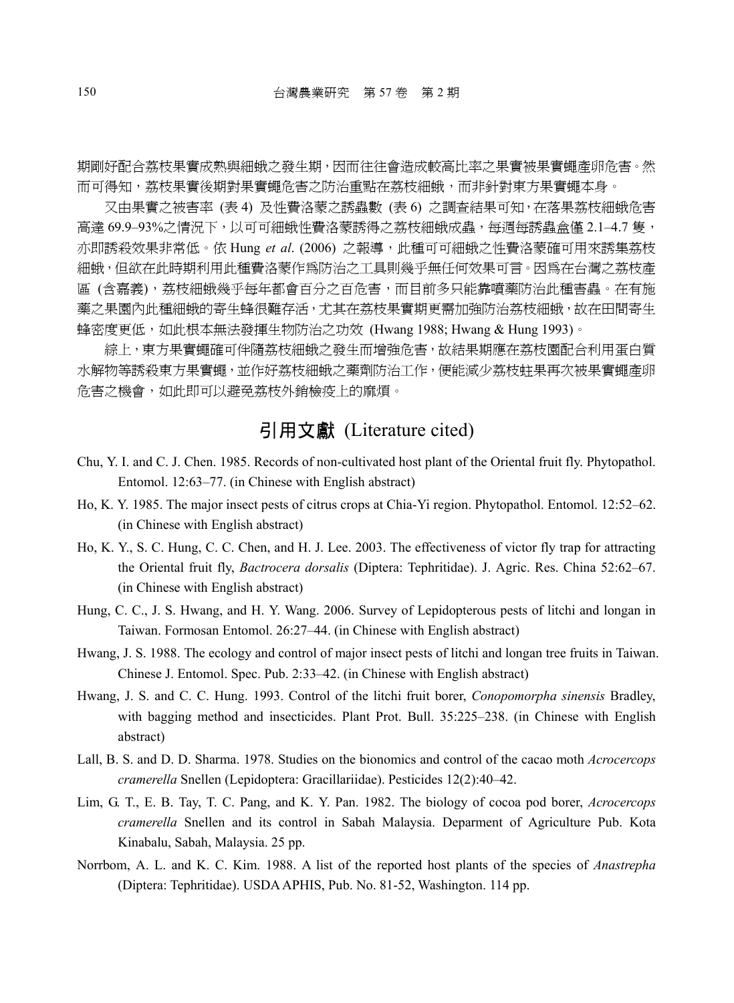期剛好配合荔枝果實成熟與細蛾之發生期,因而往往會造成較高比率之果實被果實蠅產卵危害。然 而可得知,荔枝果實後期對果實蠅危害之防治重點在荔枝細蛾,而非針對東方果實蠅本身。

又由果實之被害率 (表 4) 及性費洛蒙之誘蟲數 (表 6) 之調査結果可知, 在落果荔枝細蛾危害 高達 69.9–93%之情況下,以可可細蛾性費洛蒙誘得之荔枝細蛾成蟲,每週每誘蟲盒僅 2.1–4.7 隻, 亦即誘殺效果非常低。依 Hung *et al*. (2006) 之報導,此種可可細蛾之性費洛蒙確可用來誘集荔枝 細蛾,但欲在此時期利用性種者洛蒙作為防治之工具則幾乎無任何效果可言。因為在台灣之荔枝產 區 (含嘉義),荔枝細蛾幾乎每年都會百分之百危害,而目前多只能靠噴藥防治此種害蟲。在有施 藥之果園內此種細蛾的寄生蜂很難存活,尤其在荔枝果實期更需加強防治荔枝細蛾,故在田間寄生 蜂密度更低,如此根本無法發揮生物防治之功效 (Hwang 1988; Hwang & Hung 1993)。

綜上,東方果實蠅確可伴隨荔枝細蛾之發生而增強危害,故結果期應在荔枝園配合利用蛋白質 水解物等誘殺東方果實蠅,並作好荔枝細蛾之藥劑防治工作,便能減少荔枝蛀果再次被果實蠅產卵 危害之機會,如此即可以避免荔枝外銷檢疫上的麻煩。

## 引用文獻 (Literature cited)

- Chu, Y. I. and C. J. Chen. 1985. Records of non-cultivated host plant of the Oriental fruit fly. Phytopathol. Entomol. 12:63–77. (in Chinese with English abstract)
- Ho, K. Y. 1985. The major insect pests of citrus crops at Chia-Yi region. Phytopathol. Entomol. 12:52–62. (in Chinese with English abstract)
- Ho, K. Y., S. C. Hung, C. C. Chen, and H. J. Lee. 2003. The effectiveness of victor fly trap for attracting the Oriental fruit fly, *Bactrocera dorsalis* (Diptera: Tephritidae). J. Agric. Res. China 52:62–67. (in Chinese with English abstract)
- Hung, C. C., J. S. Hwang, and H. Y. Wang. 2006. Survey of Lepidopterous pests of litchi and longan in Taiwan. Formosan Entomol. 26:27–44. (in Chinese with English abstract)
- Hwang, J. S. 1988. The ecology and control of major insect pests of litchi and longan tree fruits in Taiwan. Chinese J. Entomol. Spec. Pub. 2:33–42. (in Chinese with English abstract)
- Hwang, J. S. and C. C. Hung. 1993. Control of the litchi fruit borer, *Conopomorpha sinensis* Bradley, with bagging method and insecticides. Plant Prot. Bull. 35:225–238. (in Chinese with English abstract)
- Lall, B. S. and D. D. Sharma. 1978. Studies on the bionomics and control of the cacao moth *Acrocercops cramerella* Snellen (Lepidoptera: Gracillariidae). Pesticides 12(2):40–42.
- Lim, G. T., E. B. Tay, T. C. Pang, and K. Y. Pan. 1982. The biology of cocoa pod borer, *Acrocercops cramerella* Snellen and its control in Sabah Malaysia. Deparment of Agriculture Pub. Kota Kinabalu, Sabah, Malaysia. 25 pp.
- Norrbom, A. L. and K. C. Kim. 1988. A list of the reported host plants of the species of *Anastrepha* (Diptera: Tephritidae). USDA APHIS, Pub. No. 81-52, Washington. 114 pp.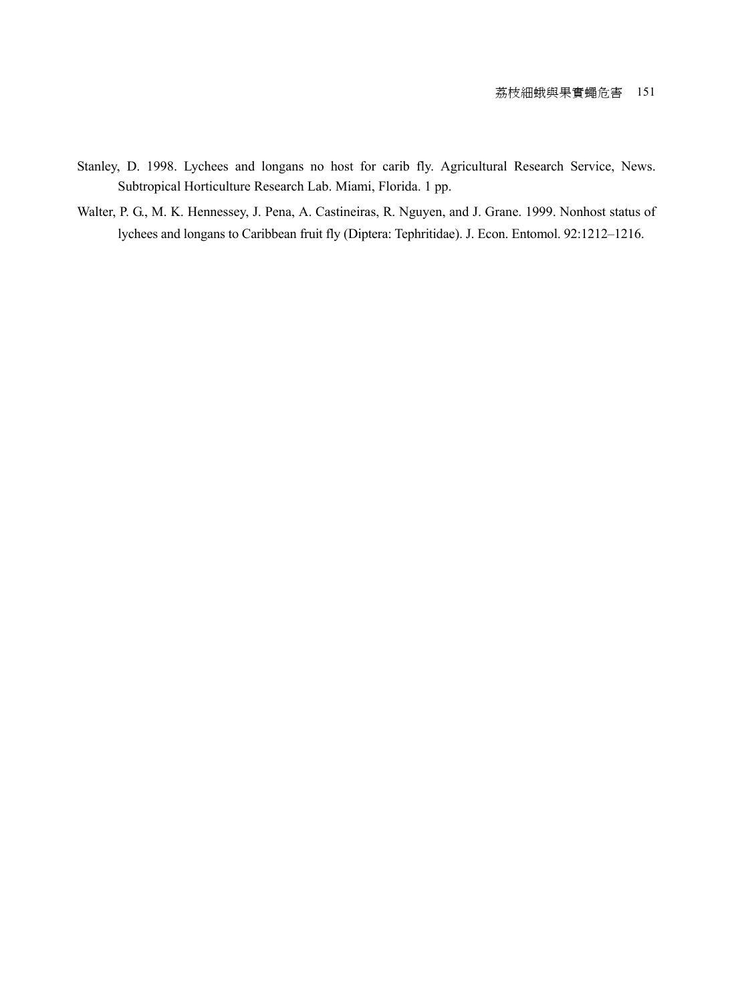- Stanley, D. 1998. Lychees and longans no host for carib fly. Agricultural Research Service, News. Subtropical Horticulture Research Lab. Miami, Florida. 1 pp.
- Walter, P. G., M. K. Hennessey, J. Pena, A. Castineiras, R. Nguyen, and J. Grane. 1999. Nonhost status of lychees and longans to Caribbean fruit fly (Diptera: Tephritidae). J. Econ. Entomol. 92:1212–1216.